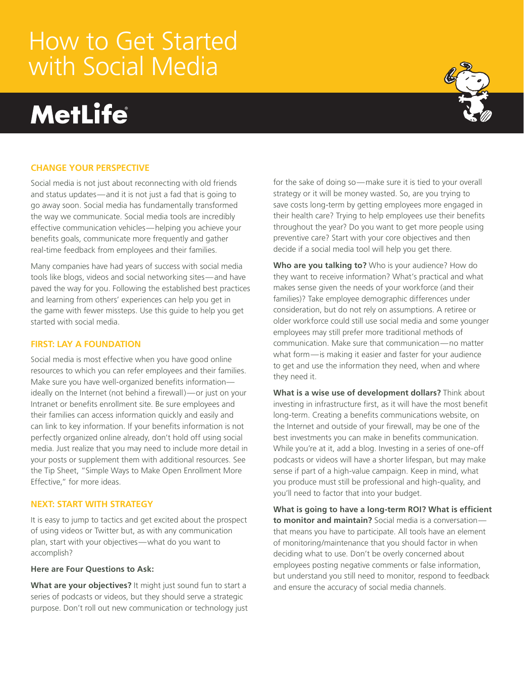# How to Get Started with Social Media

# **MetLife**



# **Change your perspective**

Social media is not just about reconnecting with old friends and status updates—and it is not just a fad that is going to go away soon. Social media has fundamentally transformed the way we communicate. Social media tools are incredibly effective communication vehicles—helping you achieve your benefits goals, communicate more frequently and gather real-time feedback from employees and their families.

Many companies have had years of success with social media tools like blogs, videos and social networking sites—and have paved the way for you. Following the established best practices and learning from others' experiences can help you get in the game with fewer missteps. Use this guide to help you get started with social media.

## **First: Lay a foundation**

Social media is most effective when you have good online resources to which you can refer employees and their families. Make sure you have well-organized benefits information ideally on the Internet (not behind a firewall)—or just on your Intranet or benefits enrollment site. Be sure employees and their families can access information quickly and easily and can link to key information. If your benefits information is not perfectly organized online already, don't hold off using social media. Just realize that you may need to include more detail in your posts or supplement them with additional resources. See the Tip Sheet, "Simple Ways to Make Open Enrollment More Effective," for more ideas.

### **Next: Start with Strategy**

It is easy to jump to tactics and get excited about the prospect of using videos or Twitter but, as with any communication plan, start with your objectives—what do you want to accomplish?

#### **Here are Four Questions to Ask:**

**What are your objectives?** It might just sound fun to start a series of podcasts or videos, but they should serve a strategic purpose. Don't roll out new communication or technology just for the sake of doing so—make sure it is tied to your overall strategy or it will be money wasted. So, are you trying to save costs long-term by getting employees more engaged in their health care? Trying to help employees use their benefits throughout the year? Do you want to get more people using preventive care? Start with your core objectives and then decide if a social media tool will help you get there.

**Who are you talking to?** Who is your audience? How do they want to receive information? What's practical and what makes sense given the needs of your workforce (and their families)? Take employee demographic differences under consideration, but do not rely on assumptions. A retiree or older workforce could still use social media and some younger employees may still prefer more traditional methods of communication. Make sure that communication—no matter what form—is making it easier and faster for your audience to get and use the information they need, when and where they need it.

**What is a wise use of development dollars?** Think about investing in infrastructure first, as it will have the most benefit long-term. Creating a benefits communications website, on the Internet and outside of your firewall, may be one of the best investments you can make in benefits communication. While you're at it, add a blog. Investing in a series of one-off podcasts or videos will have a shorter lifespan, but may make sense if part of a high-value campaign. Keep in mind, what you produce must still be professional and high-quality, and you'll need to factor that into your budget.

**What is going to have a long-term ROI? What is efficient to monitor and maintain?** Social media is a conversation that means you have to participate. All tools have an element of monitoring/maintenance that you should factor in when deciding what to use. Don't be overly concerned about employees posting negative comments or false information, but understand you still need to monitor, respond to feedback and ensure the accuracy of social media channels.